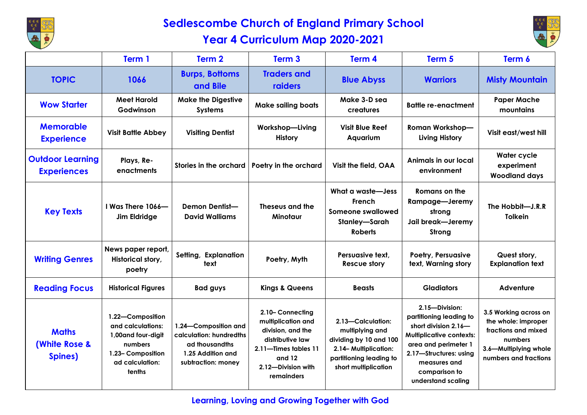

## **Sedlescombe Church of England Primary School Year 4 Curriculum Map 2020-2021**



|                                                     | Term 1                                                                                                                    | Term 2                                                                                                        | Term <sub>3</sub>                                                                                                                                       | Term 4                                                                                                                                    | Term 5                                                                                                                                                                                                        | Term 6                                                                                                                           |
|-----------------------------------------------------|---------------------------------------------------------------------------------------------------------------------------|---------------------------------------------------------------------------------------------------------------|---------------------------------------------------------------------------------------------------------------------------------------------------------|-------------------------------------------------------------------------------------------------------------------------------------------|---------------------------------------------------------------------------------------------------------------------------------------------------------------------------------------------------------------|----------------------------------------------------------------------------------------------------------------------------------|
| <b>TOPIC</b>                                        | 1066                                                                                                                      | <b>Burps, Bottoms</b><br>and Bile                                                                             | <b>Traders and</b><br>raiders                                                                                                                           | <b>Blue Abyss</b>                                                                                                                         | <b>Warriors</b>                                                                                                                                                                                               | <b>Misty Mountain</b>                                                                                                            |
| <b>Wow Starter</b>                                  | <b>Meet Harold</b><br>Godwinson                                                                                           | <b>Make the Digestive</b><br><b>Systems</b>                                                                   | <b>Make sailing boats</b>                                                                                                                               | Make 3-D sea<br>creatures                                                                                                                 | <b>Battle re-enactment</b>                                                                                                                                                                                    | <b>Paper Mache</b><br>mountains                                                                                                  |
| <b>Memorable</b><br><b>Experience</b>               | <b>Visit Battle Abbey</b>                                                                                                 | <b>Visiting Dentist</b>                                                                                       | Workshop-Living<br><b>History</b>                                                                                                                       | <b>Visit Blue Reef</b><br>Aquarium                                                                                                        | <b>Roman Workshop-</b><br><b>Living History</b>                                                                                                                                                               | Visit east/west hill                                                                                                             |
| <b>Outdoor Learning</b><br><b>Experiences</b>       | Plays, Re-<br>enactments                                                                                                  | Stories in the orchard                                                                                        | Poetry in the orchard                                                                                                                                   | Visit the field, OAA                                                                                                                      | Animals in our local<br>environment                                                                                                                                                                           | <b>Water cycle</b><br>experiment<br><b>Woodland days</b>                                                                         |
| <b>Key Texts</b>                                    | I Was There 1066-<br>Jim Eldridge                                                                                         | <b>Demon Dentist-</b><br><b>David Walliams</b>                                                                | Theseus and the<br>Minotaur                                                                                                                             | What a waste-Jess<br>French<br>Someone swallowed<br>Stanley-Sarah<br><b>Roberts</b>                                                       | Romans on the<br>Rampage-Jeremy<br>strong<br>Jail break-Jeremy<br>Strong                                                                                                                                      | The Hobbit-J.R.R<br><b>Tolkein</b>                                                                                               |
| <b>Writing Genres</b>                               | News paper report,<br>Historical story,<br>poetry                                                                         | Setting, Explanation<br>text                                                                                  | Poetry, Myth                                                                                                                                            | Persuasive text,<br><b>Rescue story</b>                                                                                                   | Poetry, Persuasive<br>text, Warning story                                                                                                                                                                     | Quest story,<br><b>Explanation text</b>                                                                                          |
| <b>Reading Focus</b>                                | <b>Historical Figures</b>                                                                                                 | <b>Bad guys</b>                                                                                               | <b>Kings &amp; Queens</b>                                                                                                                               | <b>Beasts</b>                                                                                                                             | <b>Gladiators</b>                                                                                                                                                                                             | Adventure                                                                                                                        |
| <b>Maths</b><br><b>(White Rose &amp;</b><br>Spines) | 1.22-Composition<br>and calculations:<br>1,00 and four-digit<br>numbers<br>1.23- Composition<br>ad calculation:<br>tenths | 1.24-Composition and<br>calculation: hundredths<br>ad thousand ths<br>1.25 Addition and<br>subtraction: money | 2.10- Connecting<br>multiplication and<br>division, and the<br>distributive law<br>2.11-Times tables 11<br>and $12$<br>2.12-Division with<br>remainders | 2.13-Calculation:<br>multiplying and<br>dividing by 10 and 100<br>2.14-Multiplication:<br>partitioning leading to<br>short multiplication | 2.15-Division:<br>partitioning leading to<br>short division 2.16-<br><b>Multiplicative contexts:</b><br>area and perimeter 1<br>2.17-Structures: using<br>measures and<br>comparison to<br>understand scaling | 3.5 Working across on<br>the whole: improper<br>fractions and mixed<br>numbers<br>3.6-Multiplying whole<br>numbers and fractions |

## **Learning, Loving and Growing Together with God**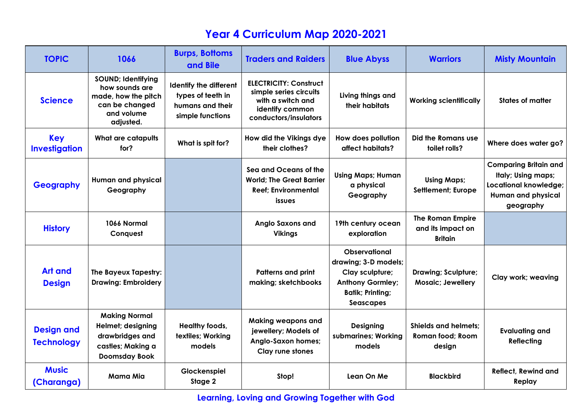## **Year 4 Curriculum Map 2020-2021**

| <b>TOPIC</b>                           | 1066                                                                                                            | <b>Burps, Bottoms</b><br>and Bile                                                          | <b>Traders and Raiders</b>                                                                                               | <b>Blue Abyss</b>                                                                                                                  | <b>Warriors</b>                                                | <b>Misty Mountain</b>                                                                                                        |
|----------------------------------------|-----------------------------------------------------------------------------------------------------------------|--------------------------------------------------------------------------------------------|--------------------------------------------------------------------------------------------------------------------------|------------------------------------------------------------------------------------------------------------------------------------|----------------------------------------------------------------|------------------------------------------------------------------------------------------------------------------------------|
| <b>Science</b>                         | <b>SOUND; Identifying</b><br>how sounds are<br>made, how the pitch<br>can be changed<br>and volume<br>adjusted. | <b>Identify the different</b><br>types of teeth in<br>humans and their<br>simple functions | <b>ELECTRICITY: Construct</b><br>simple series circuits<br>with a switch and<br>identify common<br>conductors/insulators | Living things and<br>their habitats                                                                                                | <b>Working scientifically</b>                                  | <b>States of matter</b>                                                                                                      |
| <b>Key</b><br><b>Investigation</b>     | <b>What are catapults</b><br>for?                                                                               | What is spit for?                                                                          | How did the Vikings dye<br>their clothes?                                                                                | How does pollution<br>affect habitats?                                                                                             | Did the Romans use<br>toilet rolls?                            | Where does water go?                                                                                                         |
| <b>Geography</b>                       | Human and physical<br>Geography                                                                                 |                                                                                            | Sea and Oceans of the<br><b>World: The Great Barrier</b><br><b>Reef: Environmental</b><br>issues                         | <b>Using Maps; Human</b><br>a physical<br>Geography                                                                                | <b>Using Maps;</b><br><b>Settlement</b> ; Europe               | <b>Comparing Britain and</b><br>Italy; Using maps;<br><b>Locational knowledge;</b><br><b>Human and physical</b><br>geography |
| <b>History</b>                         | 1066 Normal<br>Conquest                                                                                         |                                                                                            | <b>Anglo Saxons and</b><br><b>Vikings</b>                                                                                | 19th century ocean<br>exploration                                                                                                  | <b>The Roman Empire</b><br>and its impact on<br><b>Britain</b> |                                                                                                                              |
| <b>Art and</b><br><b>Design</b>        | The Bayeux Tapestry:<br><b>Drawing: Embroidery</b>                                                              |                                                                                            | <b>Patterns and print</b><br>making; sketchbooks                                                                         | <b>Observational</b><br>drawing; 3-D models;<br>Clay sculpture;<br><b>Anthony Gormley;</b><br><b>Batik; Printing;</b><br>Seascapes | Drawing; Sculpture;<br><b>Mosaic</b> ; Jewellery               | Clay work; weaving                                                                                                           |
| <b>Design and</b><br><b>Technology</b> | <b>Making Normal</b><br>Helmet; designing<br>drawbridges and<br>castles; Making a<br><b>Doomsday Book</b>       | Healthy foods,<br>textiles; Working<br>models                                              | <b>Making weapons and</b><br>jewellery; Models of<br>Anglo-Saxon homes;<br>Clay rune stones                              | <b>Designing</b><br>submarines; Working<br>models                                                                                  | <b>Shields and helmets:</b><br>Roman food; Room<br>design      | <b>Evaluating and</b><br><b>Reflecting</b>                                                                                   |
| <b>Music</b><br>(Charanga)             | Mama Mia                                                                                                        | Glockenspiel<br>Stage 2                                                                    | Stop!                                                                                                                    | Lean On Me                                                                                                                         | <b>Blackbird</b>                                               | <b>Reflect, Rewind and</b><br>Replay                                                                                         |